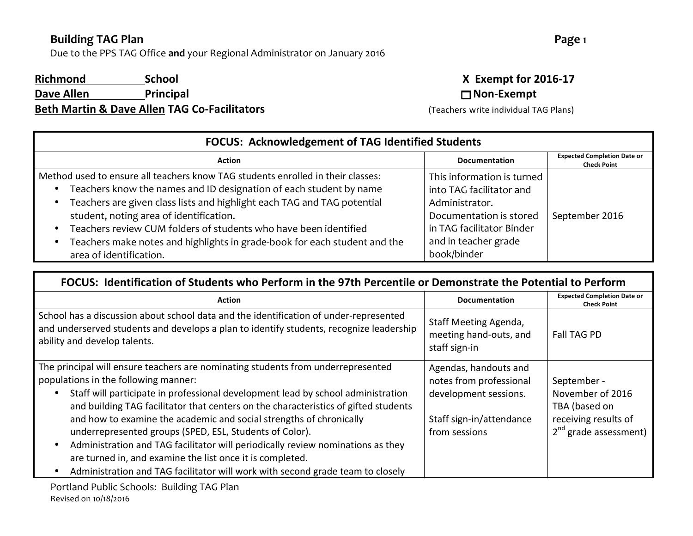Due to the PPS TAG Office and your Regional Administrator on January 2016

#### **Richmond** School **School X** Exempt for 2016-17

**Dave Allen Principal Principal Dave Allen Dave Allen Principal Dave n Beth Martin & Dave Allen TAG Co-Facilitators** (Teachers write individual TAG Plans)

| <b>FOCUS: Acknowledgement of TAG Identified Students</b>                                                                                                                                                                                                                                                                                                                                                                                                |                                                                                                                                                                         |                                                          |
|---------------------------------------------------------------------------------------------------------------------------------------------------------------------------------------------------------------------------------------------------------------------------------------------------------------------------------------------------------------------------------------------------------------------------------------------------------|-------------------------------------------------------------------------------------------------------------------------------------------------------------------------|----------------------------------------------------------|
| <b>Action</b>                                                                                                                                                                                                                                                                                                                                                                                                                                           | <b>Documentation</b>                                                                                                                                                    | <b>Expected Completion Date or</b><br><b>Check Point</b> |
| Method used to ensure all teachers know TAG students enrolled in their classes:<br>Teachers know the names and ID designation of each student by name<br>Teachers are given class lists and highlight each TAG and TAG potential<br>student, noting area of identification.<br>Teachers review CUM folders of students who have been identified<br>Teachers make notes and highlights in grade-book for each student and the<br>area of identification. | This information is turned<br>into TAG facilitator and<br>Administrator.<br>Documentation is stored<br>in TAG facilitator Binder<br>and in teacher grade<br>book/binder | September 2016                                           |

#### FOCUS: Identification of Students who Perform in the 97th Percentile or Demonstrate the Potential to Perform

| Action                                                                                                                                                                                                                                                                                                                                                                                                                                                                                                                                                                                                                                                                  | <b>Documentation</b>                                                                                                   | <b>Expected Completion Date or</b><br><b>Check Point</b>                                            |
|-------------------------------------------------------------------------------------------------------------------------------------------------------------------------------------------------------------------------------------------------------------------------------------------------------------------------------------------------------------------------------------------------------------------------------------------------------------------------------------------------------------------------------------------------------------------------------------------------------------------------------------------------------------------------|------------------------------------------------------------------------------------------------------------------------|-----------------------------------------------------------------------------------------------------|
| School has a discussion about school data and the identification of under-represented<br>and underserved students and develops a plan to identify students, recognize leadership<br>ability and develop talents.                                                                                                                                                                                                                                                                                                                                                                                                                                                        | Staff Meeting Agenda,<br>meeting hand-outs, and<br>staff sign-in                                                       | <b>Fall TAG PD</b>                                                                                  |
| The principal will ensure teachers are nominating students from underrepresented<br>populations in the following manner:<br>Staff will participate in professional development lead by school administration<br>and building TAG facilitator that centers on the characteristics of gifted students<br>and how to examine the academic and social strengths of chronically<br>underrepresented groups (SPED, ESL, Students of Color).<br>Administration and TAG facilitator will periodically review nominations as they<br>are turned in, and examine the list once it is completed.<br>Administration and TAG facilitator will work with second grade team to closely | Agendas, handouts and<br>notes from professional<br>development sessions.<br>Staff sign-in/attendance<br>from sessions | September -<br>November of 2016<br>TBA (based on<br>receiving results of<br>$2nd$ grade assessment) |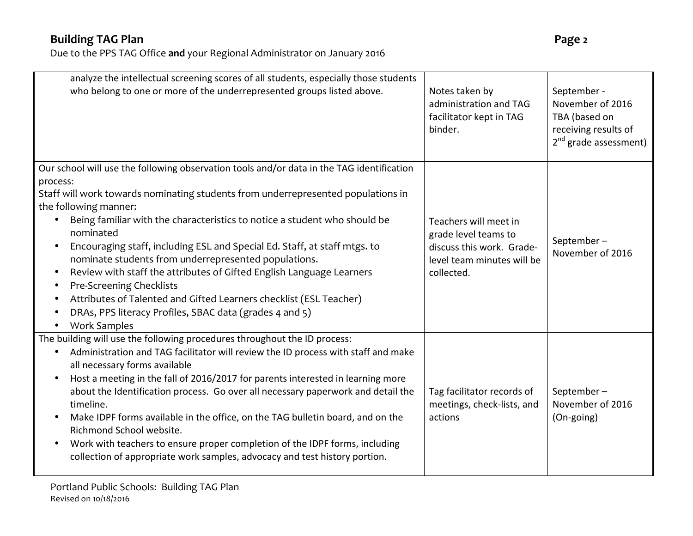| analyze the intellectual screening scores of all students, especially those students<br>who belong to one or more of the underrepresented groups listed above.                                                                                                                                                                                                                                                                                                                                                                                                                                                                                                                                                                          | Notes taken by<br>administration and TAG<br>facilitator kept in TAG<br>binder.                                         | September -<br>November of 2016<br>TBA (based on<br>receiving results of<br>2 <sup>nd</sup> grade assessment) |
|-----------------------------------------------------------------------------------------------------------------------------------------------------------------------------------------------------------------------------------------------------------------------------------------------------------------------------------------------------------------------------------------------------------------------------------------------------------------------------------------------------------------------------------------------------------------------------------------------------------------------------------------------------------------------------------------------------------------------------------------|------------------------------------------------------------------------------------------------------------------------|---------------------------------------------------------------------------------------------------------------|
| Our school will use the following observation tools and/or data in the TAG identification<br>process:<br>Staff will work towards nominating students from underrepresented populations in<br>the following manner:<br>Being familiar with the characteristics to notice a student who should be<br>nominated<br>Encouraging staff, including ESL and Special Ed. Staff, at staff mtgs. to<br>nominate students from underrepresented populations.<br>Review with staff the attributes of Gifted English Language Learners<br>$\bullet$<br>Pre-Screening Checklists<br>$\bullet$<br>Attributes of Talented and Gifted Learners checklist (ESL Teacher)<br>DRAs, PPS literacy Profiles, SBAC data (grades 4 and 5)<br><b>Work Samples</b> | Teachers will meet in<br>grade level teams to<br>discuss this work. Grade-<br>level team minutes will be<br>collected. | September-<br>November of 2016                                                                                |
| The building will use the following procedures throughout the ID process:<br>Administration and TAG facilitator will review the ID process with staff and make<br>$\bullet$<br>all necessary forms available<br>Host a meeting in the fall of 2016/2017 for parents interested in learning more<br>about the Identification process. Go over all necessary paperwork and detail the<br>timeline.<br>Make IDPF forms available in the office, on the TAG bulletin board, and on the<br>Richmond School website.<br>Work with teachers to ensure proper completion of the IDPF forms, including<br>collection of appropriate work samples, advocacy and test history portion.                                                             | Tag facilitator records of<br>meetings, check-lists, and<br>actions                                                    | September-<br>November of 2016<br>(On-going)                                                                  |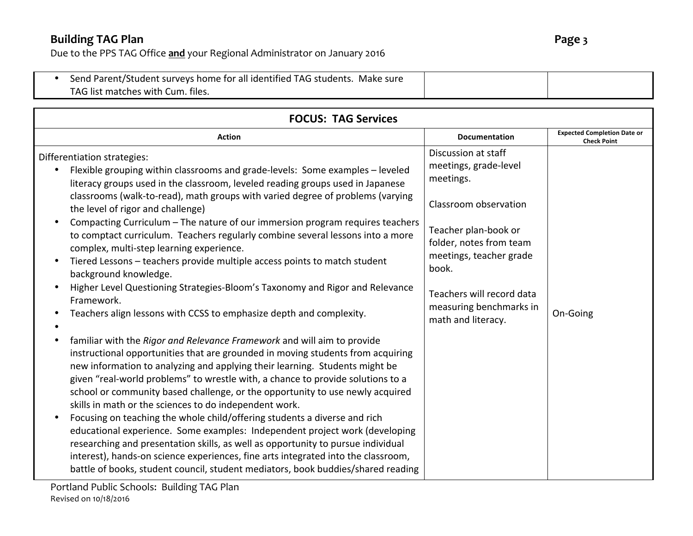| Send Parent/Student surveys home for all identified TAG students. Make sure |  |
|-----------------------------------------------------------------------------|--|
| TAG list matches with Cum. files.                                           |  |
|                                                                             |  |

| <b>FOCUS: TAG Services</b>                                                                                                                                                                                                                                                                                                                                                                                                                                                                                                                                                                                                                                                                                                                                                                                                                                                                                    |                                                                                                                                                                                                                                                         |                                                          |  |
|---------------------------------------------------------------------------------------------------------------------------------------------------------------------------------------------------------------------------------------------------------------------------------------------------------------------------------------------------------------------------------------------------------------------------------------------------------------------------------------------------------------------------------------------------------------------------------------------------------------------------------------------------------------------------------------------------------------------------------------------------------------------------------------------------------------------------------------------------------------------------------------------------------------|---------------------------------------------------------------------------------------------------------------------------------------------------------------------------------------------------------------------------------------------------------|----------------------------------------------------------|--|
| <b>Action</b>                                                                                                                                                                                                                                                                                                                                                                                                                                                                                                                                                                                                                                                                                                                                                                                                                                                                                                 | <b>Documentation</b>                                                                                                                                                                                                                                    | <b>Expected Completion Date or</b><br><b>Check Point</b> |  |
| Differentiation strategies:<br>Flexible grouping within classrooms and grade-levels: Some examples - leveled<br>literacy groups used in the classroom, leveled reading groups used in Japanese<br>classrooms (walk-to-read), math groups with varied degree of problems (varying<br>the level of rigor and challenge)<br>Compacting Curriculum - The nature of our immersion program requires teachers<br>to comptact curriculum. Teachers regularly combine several lessons into a more<br>complex, multi-step learning experience.<br>Tiered Lessons - teachers provide multiple access points to match student<br>background knowledge.<br>Higher Level Questioning Strategies-Bloom's Taxonomy and Rigor and Relevance<br>Framework.<br>Teachers align lessons with CCSS to emphasize depth and complexity.                                                                                               | Discussion at staff<br>meetings, grade-level<br>meetings.<br>Classroom observation<br>Teacher plan-book or<br>folder, notes from team<br>meetings, teacher grade<br>book.<br>Teachers will record data<br>measuring benchmarks in<br>math and literacy. | On-Going                                                 |  |
| familiar with the Rigor and Relevance Framework and will aim to provide<br>$\bullet$<br>instructional opportunities that are grounded in moving students from acquiring<br>new information to analyzing and applying their learning. Students might be<br>given "real-world problems" to wrestle with, a chance to provide solutions to a<br>school or community based challenge, or the opportunity to use newly acquired<br>skills in math or the sciences to do independent work.<br>Focusing on teaching the whole child/offering students a diverse and rich<br>educational experience. Some examples: Independent project work (developing<br>researching and presentation skills, as well as opportunity to pursue individual<br>interest), hands-on science experiences, fine arts integrated into the classroom,<br>battle of books, student council, student mediators, book buddies/shared reading |                                                                                                                                                                                                                                                         |                                                          |  |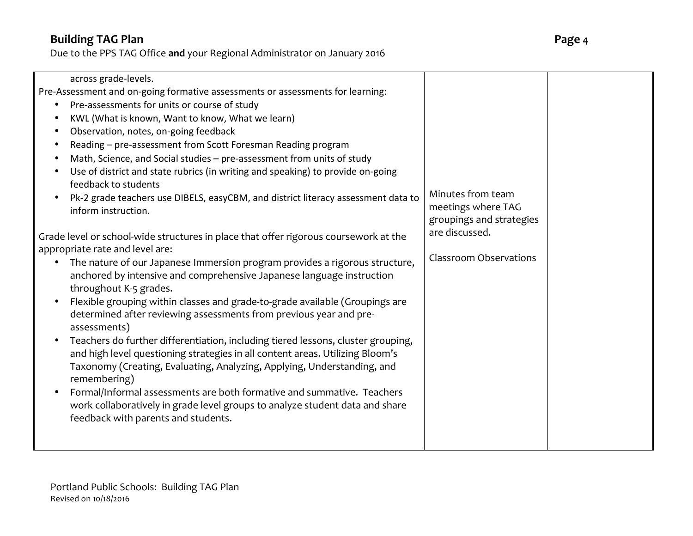| across grade-levels.<br>Pre-Assessment and on-going formative assessments or assessments for learning:<br>Pre-assessments for units or course of study<br>KWL (What is known, Want to know, What we learn)<br>Observation, notes, on-going feedback<br>Reading - pre-assessment from Scott Foresman Reading program<br>Math, Science, and Social studies - pre-assessment from units of study<br>Use of district and state rubrics (in writing and speaking) to provide on-going<br>feedback to students<br>Pk-2 grade teachers use DIBELS, easyCBM, and district literacy assessment data to<br>inform instruction.<br>Grade level or school-wide structures in place that offer rigorous coursework at the<br>appropriate rate and level are:<br>The nature of our Japanese Immersion program provides a rigorous structure,<br>anchored by intensive and comprehensive Japanese language instruction<br>throughout K-5 grades.<br>Flexible grouping within classes and grade-to-grade available (Groupings are<br>determined after reviewing assessments from previous year and pre-<br>assessments)<br>Teachers do further differentiation, including tiered lessons, cluster grouping,<br>and high level questioning strategies in all content areas. Utilizing Bloom's<br>Taxonomy (Creating, Evaluating, Analyzing, Applying, Understanding, and<br>remembering) | Minutes from team<br>meetings where TAG<br>groupings and strategies<br>are discussed.<br><b>Classroom Observations</b> |  |
|-------------------------------------------------------------------------------------------------------------------------------------------------------------------------------------------------------------------------------------------------------------------------------------------------------------------------------------------------------------------------------------------------------------------------------------------------------------------------------------------------------------------------------------------------------------------------------------------------------------------------------------------------------------------------------------------------------------------------------------------------------------------------------------------------------------------------------------------------------------------------------------------------------------------------------------------------------------------------------------------------------------------------------------------------------------------------------------------------------------------------------------------------------------------------------------------------------------------------------------------------------------------------------------------------------------------------------------------------------------------------|------------------------------------------------------------------------------------------------------------------------|--|
|                                                                                                                                                                                                                                                                                                                                                                                                                                                                                                                                                                                                                                                                                                                                                                                                                                                                                                                                                                                                                                                                                                                                                                                                                                                                                                                                                                         |                                                                                                                        |  |
| Formal/Informal assessments are both formative and summative. Teachers<br>work collaboratively in grade level groups to analyze student data and share<br>feedback with parents and students.                                                                                                                                                                                                                                                                                                                                                                                                                                                                                                                                                                                                                                                                                                                                                                                                                                                                                                                                                                                                                                                                                                                                                                           |                                                                                                                        |  |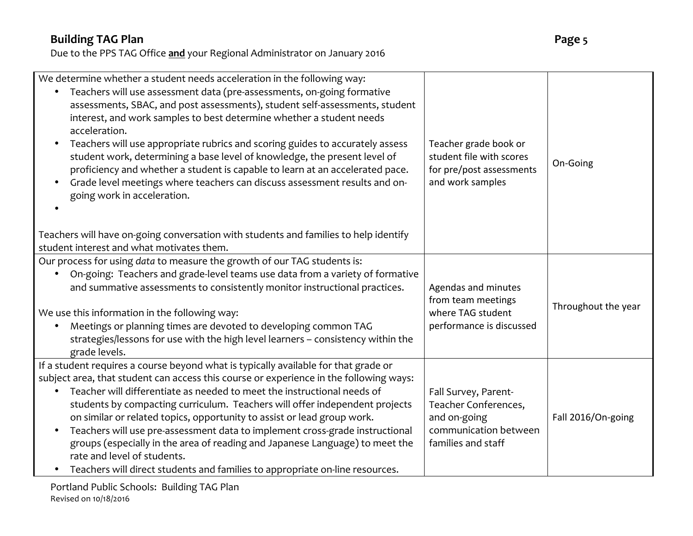| We determine whether a student needs acceleration in the following way:<br>• Teachers will use assessment data (pre-assessments, on-going formative<br>assessments, SBAC, and post assessments), student self-assessments, student<br>interest, and work samples to best determine whether a student needs<br>acceleration.<br>Teachers will use appropriate rubrics and scoring guides to accurately assess<br>$\bullet$<br>student work, determining a base level of knowledge, the present level of<br>proficiency and whether a student is capable to learn at an accelerated pace.<br>Grade level meetings where teachers can discuss assessment results and on-<br>$\bullet$<br>going work in acceleration. | Teacher grade book or<br>student file with scores<br>for pre/post assessments<br>and work samples           | On-Going            |
|-------------------------------------------------------------------------------------------------------------------------------------------------------------------------------------------------------------------------------------------------------------------------------------------------------------------------------------------------------------------------------------------------------------------------------------------------------------------------------------------------------------------------------------------------------------------------------------------------------------------------------------------------------------------------------------------------------------------|-------------------------------------------------------------------------------------------------------------|---------------------|
| Teachers will have on-going conversation with students and families to help identify<br>student interest and what motivates them.                                                                                                                                                                                                                                                                                                                                                                                                                                                                                                                                                                                 |                                                                                                             |                     |
| Our process for using data to measure the growth of our TAG students is:<br>On-going: Teachers and grade-level teams use data from a variety of formative<br>$\bullet$<br>and summative assessments to consistently monitor instructional practices.<br>We use this information in the following way:<br>Meetings or planning times are devoted to developing common TAG<br>$\bullet$<br>strategies/lessons for use with the high level learners - consistency within the<br>grade levels.                                                                                                                                                                                                                        | Agendas and minutes<br>from team meetings<br>where TAG student<br>performance is discussed                  | Throughout the year |
| If a student requires a course beyond what is typically available for that grade or<br>subject area, that student can access this course or experience in the following ways:<br>Teacher will differentiate as needed to meet the instructional needs of<br>students by compacting curriculum. Teachers will offer independent projects<br>on similar or related topics, opportunity to assist or lead group work.<br>Teachers will use pre-assessment data to implement cross-grade instructional<br>groups (especially in the area of reading and Japanese Language) to meet the<br>rate and level of students.<br>Teachers will direct students and families to appropriate on-line resources.                 | Fall Survey, Parent-<br>Teacher Conferences,<br>and on-going<br>communication between<br>families and staff | Fall 2016/On-going  |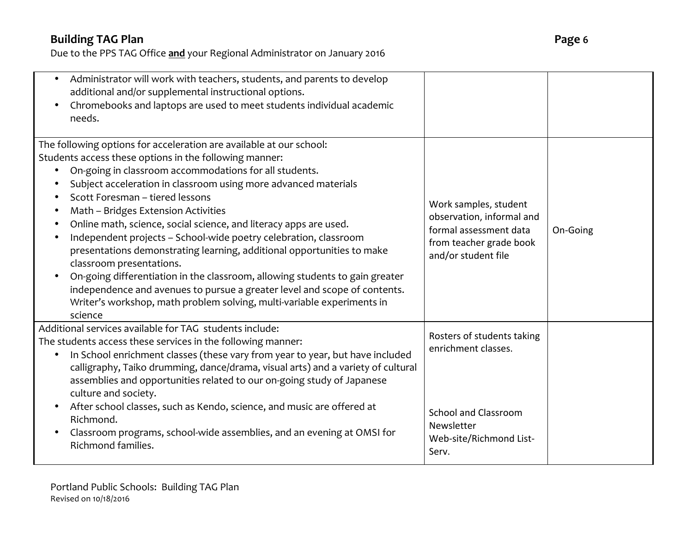| Administrator will work with teachers, students, and parents to develop<br>$\bullet$<br>additional and/or supplemental instructional options.<br>Chromebooks and laptops are used to meet students individual academic<br>needs.                                                                                                                                                                                                                                                                                                                                                                                                                                                                                                                                                                                                                   |                                                                                                                                    |          |
|----------------------------------------------------------------------------------------------------------------------------------------------------------------------------------------------------------------------------------------------------------------------------------------------------------------------------------------------------------------------------------------------------------------------------------------------------------------------------------------------------------------------------------------------------------------------------------------------------------------------------------------------------------------------------------------------------------------------------------------------------------------------------------------------------------------------------------------------------|------------------------------------------------------------------------------------------------------------------------------------|----------|
| The following options for acceleration are available at our school:<br>Students access these options in the following manner:<br>On-going in classroom accommodations for all students.<br>Subject acceleration in classroom using more advanced materials<br>Scott Foresman - tiered lessons<br>Math - Bridges Extension Activities<br>Online math, science, social science, and literacy apps are used.<br>Independent projects - School-wide poetry celebration, classroom<br>$\bullet$<br>presentations demonstrating learning, additional opportunities to make<br>classroom presentations.<br>On-going differentiation in the classroom, allowing students to gain greater<br>independence and avenues to pursue a greater level and scope of contents.<br>Writer's workshop, math problem solving, multi-variable experiments in<br>science | Work samples, student<br>observation, informal and<br>formal assessment data<br>from teacher grade book<br>and/or student file     | On-Going |
| Additional services available for TAG students include:<br>The students access these services in the following manner:<br>In School enrichment classes (these vary from year to year, but have included<br>calligraphy, Taiko drumming, dance/drama, visual arts) and a variety of cultural<br>assemblies and opportunities related to our on-going study of Japanese<br>culture and society.<br>After school classes, such as Kendo, science, and music are offered at<br>Richmond.<br>Classroom programs, school-wide assemblies, and an evening at OMSI for<br>Richmond families.                                                                                                                                                                                                                                                               | Rosters of students taking<br>enrichment classes.<br><b>School and Classroom</b><br>Newsletter<br>Web-site/Richmond List-<br>Serv. |          |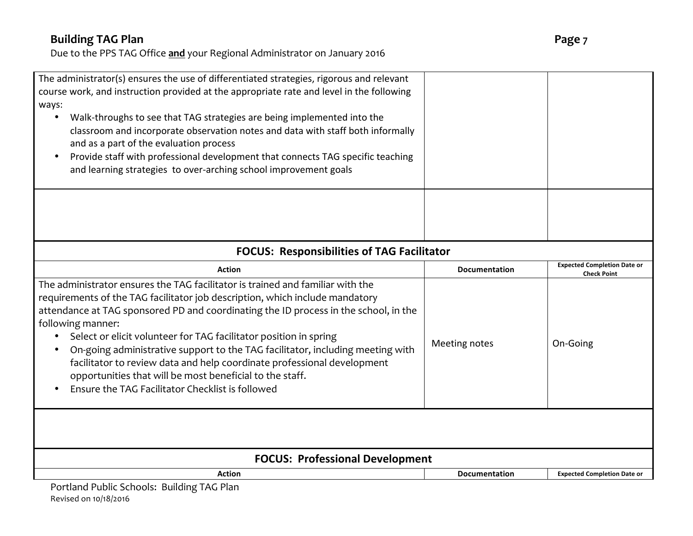Due to the PPS TAG Office **and** your Regional Administrator on January 2016

| The administrator(s) ensures the use of differentiated strategies, rigorous and relevant                                            |                      |                                                          |
|-------------------------------------------------------------------------------------------------------------------------------------|----------------------|----------------------------------------------------------|
| course work, and instruction provided at the appropriate rate and level in the following                                            |                      |                                                          |
| ways:                                                                                                                               |                      |                                                          |
| Walk-throughs to see that TAG strategies are being implemented into the<br>$\bullet$                                                |                      |                                                          |
| classroom and incorporate observation notes and data with staff both informally                                                     |                      |                                                          |
| and as a part of the evaluation process                                                                                             |                      |                                                          |
| Provide staff with professional development that connects TAG specific teaching                                                     |                      |                                                          |
| and learning strategies to over-arching school improvement goals                                                                    |                      |                                                          |
|                                                                                                                                     |                      |                                                          |
| <b>FOCUS: Responsibilities of TAG Facilitator</b>                                                                                   |                      |                                                          |
| <b>Action</b>                                                                                                                       | <b>Documentation</b> | <b>Expected Completion Date or</b><br><b>Check Point</b> |
| The administrator ensures the TAG facilitator is trained and familiar with the                                                      |                      |                                                          |
| requirements of the TAG facilitator job description, which include mandatory                                                        |                      |                                                          |
| attendance at TAG sponsored PD and coordinating the ID process in the school, in the                                                |                      |                                                          |
| following manner:                                                                                                                   |                      |                                                          |
| Select or elicit volunteer for TAG facilitator position in spring                                                                   | Meeting notes        | On-Going                                                 |
| On-going administrative support to the TAG facilitator, including meeting with                                                      |                      |                                                          |
| facilitator to review data and help coordinate professional development<br>opportunities that will be most beneficial to the staff. |                      |                                                          |
| Ensure the TAG Facilitator Checklist is followed                                                                                    |                      |                                                          |
|                                                                                                                                     |                      |                                                          |
|                                                                                                                                     |                      |                                                          |
|                                                                                                                                     |                      |                                                          |
| <b>FOCUS: Professional Development</b>                                                                                              |                      |                                                          |
| <b>Action</b>                                                                                                                       | <b>Documentation</b> | <b>Expected Completion Date or</b>                       |
| Portland Public Schools: Building TAG Plan                                                                                          |                      |                                                          |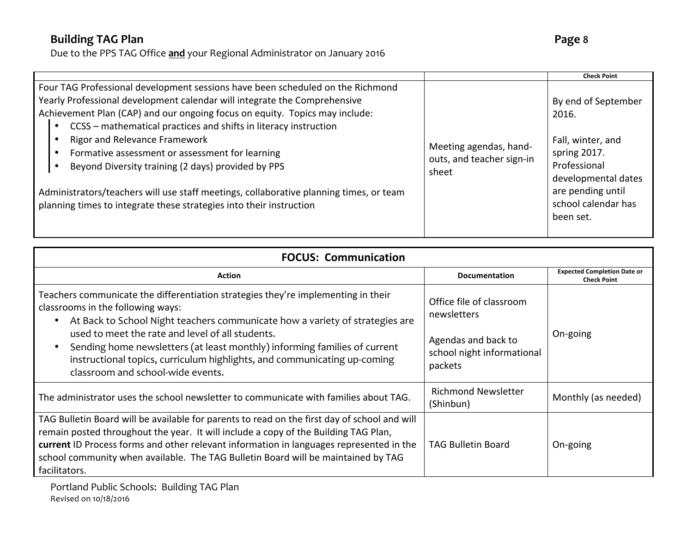|                                                                                                                                                                                                                                                                                                                                                                                                                                                                                                                                                                                                                                        |                                                              | <b>Check Point</b>                                                                                                                                                |
|----------------------------------------------------------------------------------------------------------------------------------------------------------------------------------------------------------------------------------------------------------------------------------------------------------------------------------------------------------------------------------------------------------------------------------------------------------------------------------------------------------------------------------------------------------------------------------------------------------------------------------------|--------------------------------------------------------------|-------------------------------------------------------------------------------------------------------------------------------------------------------------------|
| Four TAG Professional development sessions have been scheduled on the Richmond<br>Yearly Professional development calendar will integrate the Comprehensive<br>Achievement Plan (CAP) and our ongoing focus on equity. Topics may include:<br>CCSS - mathematical practices and shifts in literacy instruction<br>$\bullet$<br>Rigor and Relevance Framework<br>Formative assessment or assessment for learning<br>Beyond Diversity training (2 days) provided by PPS<br>Administrators/teachers will use staff meetings, collaborative planning times, or team<br>planning times to integrate these strategies into their instruction | Meeting agendas, hand-<br>outs, and teacher sign-in<br>sheet | By end of September<br>2016.<br>Fall, winter, and<br>spring 2017.<br>Professional<br>developmental dates<br>are pending until<br>school calendar has<br>been set. |

| <b>FOCUS: Communication</b>                                                                                                                                                                                                                                                                                                                                                                                                                              |                                                                                                         |                                                          |
|----------------------------------------------------------------------------------------------------------------------------------------------------------------------------------------------------------------------------------------------------------------------------------------------------------------------------------------------------------------------------------------------------------------------------------------------------------|---------------------------------------------------------------------------------------------------------|----------------------------------------------------------|
| <b>Action</b>                                                                                                                                                                                                                                                                                                                                                                                                                                            | <b>Documentation</b>                                                                                    | <b>Expected Completion Date or</b><br><b>Check Point</b> |
| Teachers communicate the differentiation strategies they're implementing in their<br>classrooms in the following ways:<br>At Back to School Night teachers communicate how a variety of strategies are<br>used to meet the rate and level of all students.<br>Sending home newsletters (at least monthly) informing families of current<br>instructional topics, curriculum highlights, and communicating up-coming<br>classroom and school-wide events. | Office file of classroom<br>newsletters<br>Agendas and back to<br>school night informational<br>packets | On-going                                                 |
| The administrator uses the school newsletter to communicate with families about TAG.                                                                                                                                                                                                                                                                                                                                                                     | <b>Richmond Newsletter</b><br>(Shinbun)                                                                 | Monthly (as needed)                                      |
| TAG Bulletin Board will be available for parents to read on the first day of school and will<br>remain posted throughout the year. It will include a copy of the Building TAG Plan,<br>current ID Process forms and other relevant information in languages represented in the<br>school community when available. The TAG Bulletin Board will be maintained by TAG<br>facilitators.                                                                     | <b>TAG Bulletin Board</b>                                                                               | On-going                                                 |